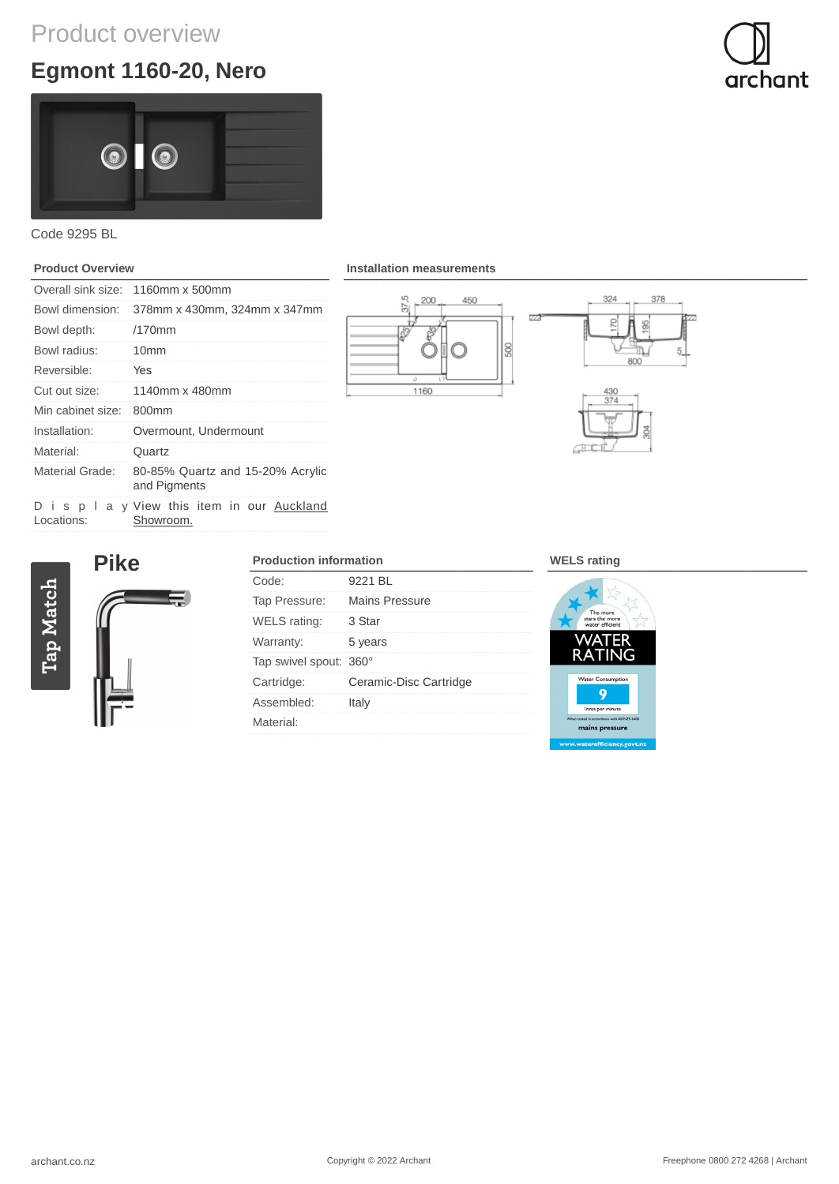## Product overview

# **Egmont 1160-20, Nero**





### Code 9295 BL

### **Product Overview**

| Overall sink size: | 1160mm x 500mm                                            |
|--------------------|-----------------------------------------------------------|
| Bowl dimension:    | 378mm x 430mm, 324mm x 347mm                              |
| Bowl depth:        | $/170$ mm                                                 |
| Bowl radius:       | 10 <sub>mm</sub>                                          |
| Reversible:        | Yes                                                       |
| Cut out size:      | 1140mm x 480mm                                            |
| Min cabinet size:  | 800 <sub>mm</sub>                                         |
| Installation:      | Overmount, Undermount                                     |
| Material:          | Quartz                                                    |
| Material Grade:    | 80-85% Quartz and 15-20% Acrylic<br>and Pigments          |
| Locations:         | D i s p I a y View this item in our Auckland<br>Showroom. |

**Installation measurements**





 $\overline{Z}$ 

 $\Box$ 

**Pike** Tap Match

| <b>Production information</b> |                        |
|-------------------------------|------------------------|
| Code:                         | 9221 BL                |
| Tap Pressure:                 | Mains Pressure         |
| WELS rating:                  | 3 Star                 |
| Warranty:                     | 5 years                |
| Tap swivel spout: 360°        |                        |
| Cartridge:                    | Ceramic-Disc Cartridge |
| Assembled:                    | Italy                  |
| Material:                     |                        |

#### **WELS rating**